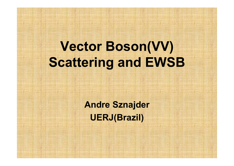# **Vector Boson(VV) Scattering and EWSB**

**Andre Sznajder UERJ(Brazil)**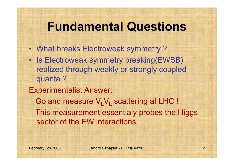### **Fundamental Questions**

- What breaks Electroweak symmetry ?
- Is Electroweak symmetry breaking(EWSB) realized through weakly or strongly coupled quanta ?
- Experimentalist Answer:
	- Go and measure  $\mathsf{V}_{\mathsf{L}}\mathsf{V}_{\mathsf{L}}$  scattering at LHC ! This measurement essentialy probes the Higgs sector of the EW interactions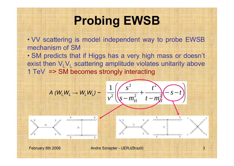## **Probing EWSB**

• VV scattering is model independent way to probe EWSB mechanism of SM

• SM predicts that if Higgs has a very high mass or doesn't exist then  $V_{L}V_{L}$  scattering amplitude violates unitarity above 1 TeV => SM becomes strongly interacting

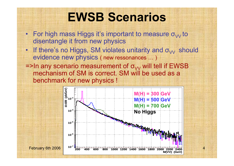### **EWSB Scenarios**

- For high mass Higgs it's important to measure  $\sigma_{\mathrm{VV}}$  to disentangle it from new physics
- If there's no Higgs, SM violates unitarity and  $\sigma_{VV}$  should evidence new physics ( new ressonances … )
- =>In any scenario measurement of  $\sigma_{\rm VV}$  will tell if EWSB  $^+$ mechanism of SM is correct. SM will be used as a benchmark for new physics !

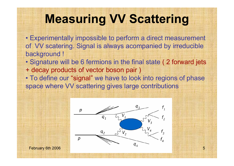## **Measuring VV Scattering**

• Experimentally impossible to perform a direct measurement of VV scatering. Signal is always acompanied by irreducible background !

- Signature will be 6 fermions in the final state ( 2 forward jets + decay products of vector boson pair )
- To define our "signal" we have to look into regions of phase space where VV scattering gives large contributions

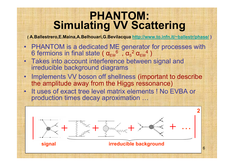### **PHANTOM: Simulating VV Scattering**

**( A.Ballestrero,E.Maina,A.Belhouari,G.Bevilacqua http://www.to.infn.it/~ballestr/phase/ )**

- • PHANTOM is a dedicated ME generator for processes with 6 fermions in final state (  $\alpha_{\rm EW}^{\phantom{\odot}}$  ,  $\alpha_{\rm S}$  $^2$   $\alpha_{\rm EW}^{\phantom{2}}$ )
- Takes into account interference between signal and irreducible background diagrams
- • Implements VV boson off shellness (important to describe the amplitude away from the Higgs ressonance)
- It uses of exact tree level matrix elements ! No EVBA or production times decay aproximation …

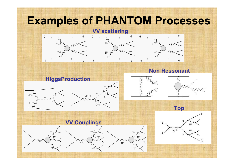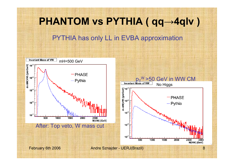# **PHANTOM vs PYTHIA ( qq <sup>→</sup>4qlv )** PYTHIA has only LL in EVBA approximation

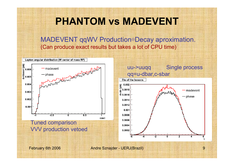**PHANTOM vs MADEVENT**

MADEVENT qqWV Production <sup>⊗</sup>Decay aproximation. (Can produce exact results but takes a lot of CPU time)

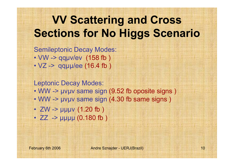### **VV Scattering and Cross Sections for No Higgs Scenario**

Semileptonic Decay Modes: • VW -> qqμν/ev (158 fb ) • VZ -> qqµµ/ee (16.4 fb)

Leptonic Decay Modes:

- WW -> μνμν same sign (9.52 fb oposite signs )
- WW -> μνμν same sign (4.30 fb same signs )
- ZW -> μμμν (1.20 fb )
- ZZ -> μμμμ (0.180 fb )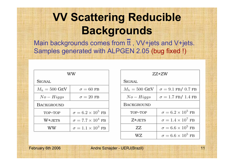### **VV Scattering Reducible Backgrounds**

Main backgrounds comes from it, VV+jets and V+jets. Samples generated with ALPGEN 2.05 (bug fixed !)

| WW                      |                               |
|-------------------------|-------------------------------|
| SIGNAL                  |                               |
| $M_h = 500 \text{ GeV}$ | $\sigma = 60$ FB              |
| $No-Higgs$              | $\sigma = 20$ FB              |
| <b>BACKGROUND</b>       |                               |
| TOP-TOP                 | $\sigma = 6.2 \times 10^5$ FB |
| W+JETS                  | $\sigma = 7.7 \times 10^4$ FB |
| WW                      | $\sigma = 1.1 \times 10^3$ FB |

| ZZ+ZW                   |                               |
|-------------------------|-------------------------------|
| SIGNAL                  |                               |
| $M_h = 500 \text{ GeV}$ | $\sigma = 9.1$ FB/ 0.7 FB     |
| $No-Higgs$              | $\sigma = 1.7$ FB/ 1.4 FB     |
| <b>BACKGROUND</b>       |                               |
| TOP-TOP                 | $\sigma = 6.2 \times 10^5$ FB |
| Z+JETS                  | $\sigma = 1.4 \times 10^7$ FB |
| ZZ.                     | $\sigma = 6.6 \times 10^5$ FB |
| WZ                      | $\sigma = 6.6 \times 10^5$ FB |

February 6th 2006 **Andre Sznajder - UERJ**(Brazil) 11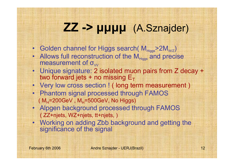### **ZZ -> μμμμ** (A.Sznajder)

- Golden channel for Higgs search(  $\mathsf{M}_{\mathsf{Higgs}}$  > 2 $\mathsf{M}_{\mathsf{WIZ}}$ )
- Allows full reconstruction of the  $M_{Higgs}$  and precise measurement of  $\sigma_{\text{tot}}$  $\sigma_{\rm\scriptscriptstyle VV}$
- Unique signature: 2 isolated muon pairs from Z decay + two forward jets + no missing  $\mathsf{E}_{\mathsf{T}}$
- Very low cross section ! ( long term measurement )
- Phantom signal processed through FAMOS ( M<sub>H</sub>=200GeV , M<sub>H</sub>=500GeV, No Higgs)
- Alpgen background processed through FAMOS ( ZZ+njets, WZ+njets, tt+njets, )
- Working on adding Zbb background and getting the significance of the signal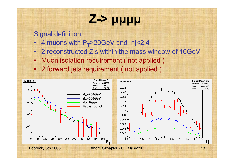# **Z-> μμμμ**

- •4 muons with P $_\mathrm{T}$ >20GeV and |η|<2.4
- 2 reconstructed Z's within the mass window of 10GeV
- Muon isolation requirement ( not applied )
- 2 forward jets requirement ( not applied )

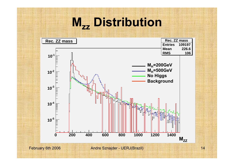### **Mzz Distribution**

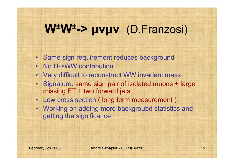#### **W ± W ±-> μνμν** (D.Franzosi)

- Same sign requirement reduces background
- No H->WW contribution
- Very difficult to reconstruct WW invariant mass.
- Signature: same sign pair of isolated muons + large missing ET + two forward jets
- Low cross section ( long term measurement )
- Working on adding more backgroubd statistics and getting the significance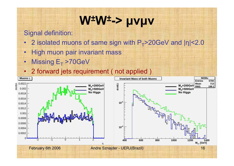#### **W ± W ±-> μνμν**

- •2 isolated muons of same sign with P<sub>T</sub>>20GeV and |η|<2.0
- •High muon pair invariant mass
- •Missing  $E_T > 70 GeV$
- •2 forward jets requirement ( not applied )

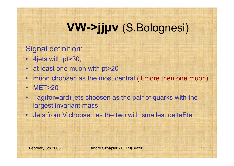### **VW->jjμν** (S.Bolognesi)

- 4jets with pt>30,
- •at least one muon with pt>20
- •muon choosen as the most central (if more then one muon)
- MET>20
- • Tag(forward) jets choosen as the pair of quarks with the largest invariant mass
- •Jets from V choosen as the two with smallest deltaEta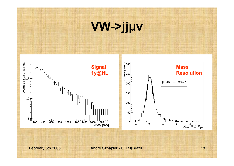# **VW->jjμν**

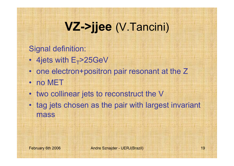### **VZ->jjee** (V.Tancini)

- 4jets with  $\mathsf{E_{T}}$ >25GeV
- one electron+positron pair resonant at the Z
- no MET
- two collinear jets to reconstruct the V
- tag jets chosen as the pair with largest invariant mass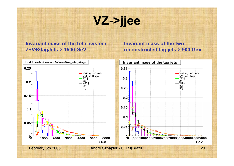# **VZ->jjee**

#### **Invariant mass of the total system Z+V+2tagJets > 1500 GeV**

#### **Invariant mass of the two reconstructed tag jets > 900 GeV**

![](_page_19_Figure_3.jpeg)

total invariant mass (Z-->ee+V-->ii+tag+tag)